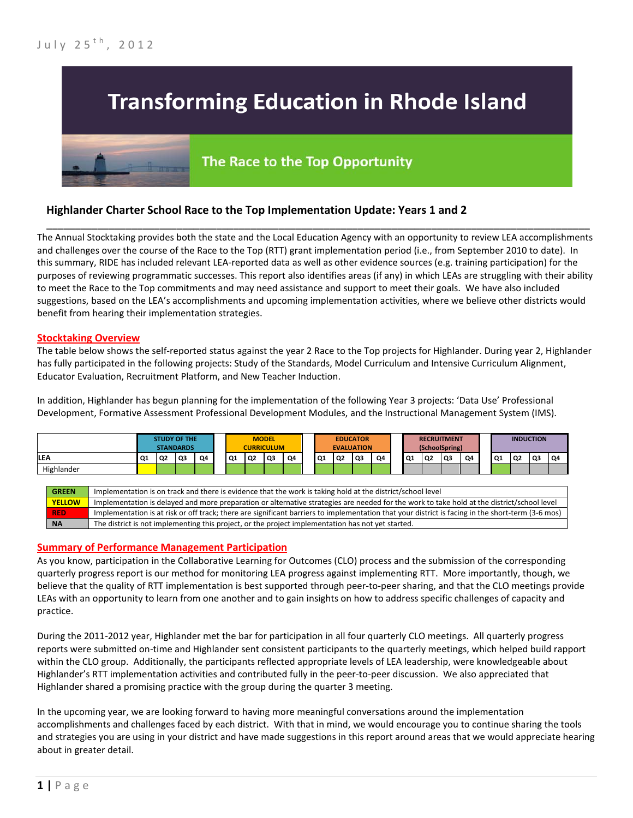

# **Highlander Charter School Race to the Top Implementation Update: Years 1 and 2**

The Annual Stocktaking provides both the state and the Local Education Agency with an opportunity to review LEA accomplishments and challenges over the course of the Race to the Top (RTT) grant implementation period (i.e., from September 2010 to date). In this summary, RIDE has included relevant LEA-reported data as well as other evidence sources (e.g. training participation) for the purposes of reviewing programmatic successes. This report also identifies areas (if any) in which LEAs are struggling with their ability to meet the Race to the Top commitments and may need assistance and support to meet their goals. We have also included suggestions, based on the LEA's accomplishments and upcoming implementation activities, where we believe other districts would benefit from hearing their implementation strategies.

\_\_\_\_\_\_\_\_\_\_\_\_\_\_\_\_\_\_\_\_\_\_\_\_\_\_\_\_\_\_\_\_\_\_\_\_\_\_\_\_\_\_\_\_\_\_\_\_\_\_\_\_\_\_\_\_\_\_\_\_\_\_\_\_\_\_\_\_\_\_\_\_\_\_\_\_\_\_\_\_\_\_\_\_\_\_\_\_\_\_\_\_\_\_\_\_

#### **Stocktaking Overview**

The table below shows the self-reported status against the year 2 Race to the Top projects for Highlander. During year 2, Highlander has fully participated in the following projects: Study of the Standards, Model Curriculum and Intensive Curriculum Alignment, Educator Evaluation, Recruitment Platform, and New Teacher Induction.

In addition, Highlander has begun planning for the implementation of the following Year 3 projects: 'Data Use' Professional Development, Formative Assessment Professional Development Modules, and the Instructional Management System (IMS).

|            |    |                | <b>STUDY OF THE</b><br><b>STANDARDS</b> |    |    |    | <b>MODEL</b><br><b>CURRICULUM</b> |    |    |    | <b>EDUCATOR</b><br><b>EVALUATION</b> |    |    | <b>RECRUITMENT</b><br>(SchoolSpring) |    |    | <b>INDUCTION</b> |                 |                |    |    |
|------------|----|----------------|-----------------------------------------|----|----|----|-----------------------------------|----|----|----|--------------------------------------|----|----|--------------------------------------|----|----|------------------|-----------------|----------------|----|----|
| <b>LEA</b> | Q1 | Q <sub>2</sub> | Q3                                      | Q4 | Q1 | Q2 | Q <sub>3</sub>                    | Q4 | Q1 | Q2 | Q3                                   | Q4 | Q1 | Q <sub>2</sub>                       | Q3 | Q4 |                  | $\overline{Q1}$ | Q <sub>2</sub> | Q3 | Q4 |
| Highlander |    |                |                                         |    |    |    |                                   |    |    |    |                                      |    |    |                                      |    |    |                  |                 |                |    |    |
|            |    |                |                                         |    |    |    |                                   |    |    |    |                                      |    |    |                                      |    |    |                  |                 |                |    |    |

| <b>GREEN</b>  | Implementation is on track and there is evidence that the work is taking hold at the district/school level                                        |
|---------------|---------------------------------------------------------------------------------------------------------------------------------------------------|
| <b>YELLOW</b> | Implementation is delayed and more preparation or alternative strategies are needed for the work to take hold at the district/school level        |
| <b>RED</b>    | Implementation is at risk or off track; there are significant barriers to implementation that your district is facing in the short-term (3-6 mos) |
| <b>NA</b>     | The district is not implementing this project, or the project implementation has not yet started.                                                 |

### **Summary of Performance Management Participation**

As you know, participation in the Collaborative Learning for Outcomes (CLO) process and the submission of the corresponding quarterly progress report is our method for monitoring LEA progress against implementing RTT. More importantly, though, we believe that the quality of RTT implementation is best supported through peer-to-peer sharing, and that the CLO meetings provide LEAs with an opportunity to learn from one another and to gain insights on how to address specific challenges of capacity and practice.

During the 2011-2012 year, Highlander met the bar for participation in all four quarterly CLO meetings. All quarterly progress reports were submitted on-time and Highlander sent consistent participants to the quarterly meetings, which helped build rapport within the CLO group. Additionally, the participants reflected appropriate levels of LEA leadership, were knowledgeable about Highlander's RTT implementation activities and contributed fully in the peer-to-peer discussion. We also appreciated that Highlander shared a promising practice with the group during the quarter 3 meeting.

In the upcoming year, we are looking forward to having more meaningful conversations around the implementation accomplishments and challenges faced by each district. With that in mind, we would encourage you to continue sharing the tools and strategies you are using in your district and have made suggestions in this report around areas that we would appreciate hearing about in greater detail.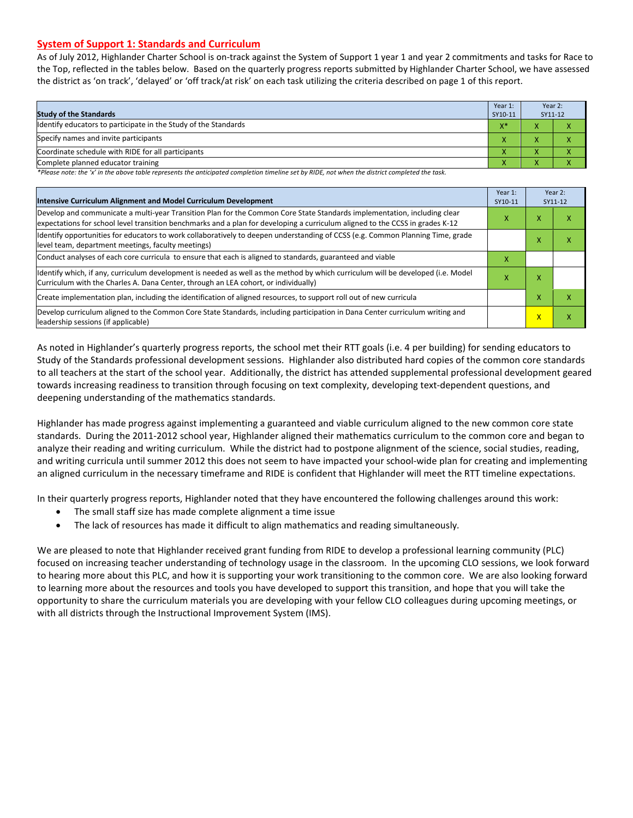### **System of Support 1: Standards and Curriculum**

As of July 2012, Highlander Charter School is on-track against the System of Support 1 year 1 and year 2 commitments and tasks for Race to the Top, reflected in the tables below. Based on the quarterly progress reports submitted by Highlander Charter School, we have assessed the district as 'on track', 'delayed' or 'off track/at risk' on each task utilizing the criteria described on page 1 of this report.

| <b>Study of the Standards</b>                                   | Year 1:<br>SY10-11 | Year 2:<br>SY11-12 |  |
|-----------------------------------------------------------------|--------------------|--------------------|--|
| Identify educators to participate in the Study of the Standards | $X^*$              |                    |  |
| Specify names and invite participants                           | $\mathbf{v}$       |                    |  |
| Coordinate schedule with RIDE for all participants              | $\mathbf{\Lambda}$ |                    |  |
| Complete planned educator training                              | $\mathbf{\Lambda}$ |                    |  |

*\*Please note: the 'x' in the above table represents the anticipated completion timeline set by RIDE, not when the district completed the task.*

| Intensive Curriculum Alignment and Model Curriculum Development                                                                                                                                                                                           | Year 1:<br>SY10-11 |   | Year 2:<br>SY11-12 |
|-----------------------------------------------------------------------------------------------------------------------------------------------------------------------------------------------------------------------------------------------------------|--------------------|---|--------------------|
| Develop and communicate a multi-year Transition Plan for the Common Core State Standards implementation, including clear<br>expectations for school level transition benchmarks and a plan for developing a curriculum aligned to the CCSS in grades K-12 | x                  | X | х                  |
| Identify opportunities for educators to work collaboratively to deepen understanding of CCSS (e.g. Common Planning Time, grade<br>level team, department meetings, faculty meetings)                                                                      |                    | x | x                  |
| Conduct analyses of each core curricula to ensure that each is aligned to standards, guaranteed and viable                                                                                                                                                | x                  |   |                    |
| Identify which, if any, curriculum development is needed as well as the method by which curriculum will be developed (i.e. Model<br>Curriculum with the Charles A. Dana Center, through an LEA cohort, or individually)                                   | х                  | Χ |                    |
| Create implementation plan, including the identification of aligned resources, to support roll out of new curricula                                                                                                                                       |                    | X | x                  |
| Develop curriculum aligned to the Common Core State Standards, including participation in Dana Center curriculum writing and<br>leadership sessions (if applicable)                                                                                       |                    | x | x                  |

As noted in Highlander's quarterly progress reports, the school met their RTT goals (i.e. 4 per building) for sending educators to Study of the Standards professional development sessions. Highlander also distributed hard copies of the common core standards to all teachers at the start of the school year. Additionally, the district has attended supplemental professional development geared towards increasing readiness to transition through focusing on text complexity, developing text-dependent questions, and deepening understanding of the mathematics standards.

Highlander has made progress against implementing a guaranteed and viable curriculum aligned to the new common core state standards. During the 2011-2012 school year, Highlander aligned their mathematics curriculum to the common core and began to analyze their reading and writing curriculum. While the district had to postpone alignment of the science, social studies, reading, and writing curricula until summer 2012 this does not seem to have impacted your school-wide plan for creating and implementing an aligned curriculum in the necessary timeframe and RIDE is confident that Highlander will meet the RTT timeline expectations.

In their quarterly progress reports, Highlander noted that they have encountered the following challenges around this work:

- The small staff size has made complete alignment a time issue
- The lack of resources has made it difficult to align mathematics and reading simultaneously*.*

We are pleased to note that Highlander received grant funding from RIDE to develop a professional learning community (PLC) focused on increasing teacher understanding of technology usage in the classroom. In the upcoming CLO sessions, we look forward to hearing more about this PLC, and how it is supporting your work transitioning to the common core. We are also looking forward to learning more about the resources and tools you have developed to support this transition, and hope that you will take the opportunity to share the curriculum materials you are developing with your fellow CLO colleagues during upcoming meetings, or with all districts through the Instructional Improvement System (IMS).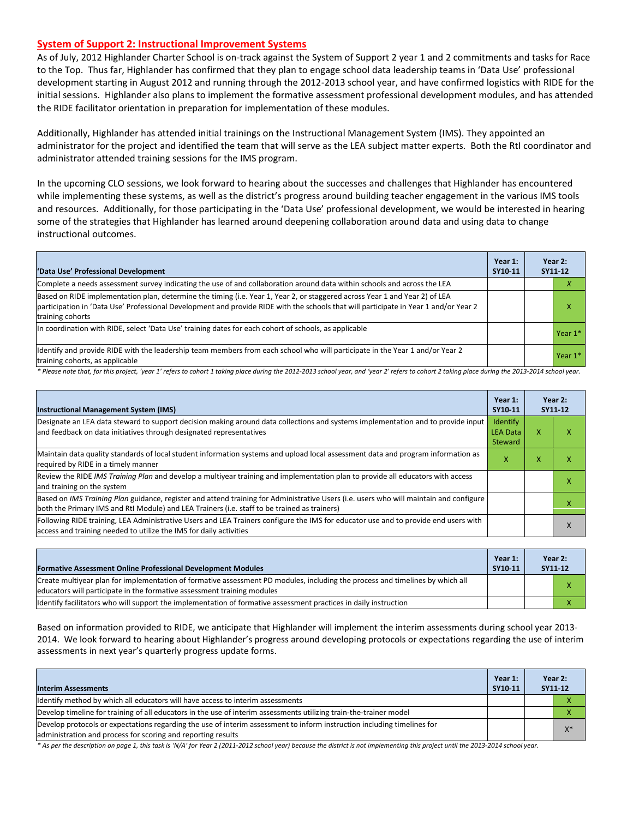#### **System of Support 2: Instructional Improvement Systems**

As of July, 2012 Highlander Charter School is on-track against the System of Support 2 year 1 and 2 commitments and tasks for Race to the Top. Thus far, Highlander has confirmed that they plan to engage school data leadership teams in 'Data Use' professional development starting in August 2012 and running through the 2012-2013 school year, and have confirmed logistics with RIDE for the initial sessions. Highlander also plans to implement the formative assessment professional development modules, and has attended the RIDE facilitator orientation in preparation for implementation of these modules.

Additionally, Highlander has attended initial trainings on the Instructional Management System (IMS). They appointed an administrator for the project and identified the team that will serve as the LEA subject matter experts. Both the RtI coordinator and administrator attended training sessions for the IMS program.

In the upcoming CLO sessions, we look forward to hearing about the successes and challenges that Highlander has encountered while implementing these systems, as well as the district's progress around building teacher engagement in the various IMS tools and resources. Additionally, for those participating in the 'Data Use' professional development, we would be interested in hearing some of the strategies that Highlander has learned around deepening collaboration around data and using data to change instructional outcomes.

| 'Data Use' Professional Development                                                                                                                                                                                                                                                     | Year 1:<br>SY10-11 | Year 2:<br>SY11-12 |
|-----------------------------------------------------------------------------------------------------------------------------------------------------------------------------------------------------------------------------------------------------------------------------------------|--------------------|--------------------|
| Complete a needs assessment survey indicating the use of and collaboration around data within schools and across the LEA                                                                                                                                                                |                    | х                  |
| Based on RIDE implementation plan, determine the timing (i.e. Year 1, Year 2, or staggered across Year 1 and Year 2) of LEA<br>participation in 'Data Use' Professional Development and provide RIDE with the schools that will participate in Year 1 and/or Year 2<br>training cohorts |                    | x                  |
| In coordination with RIDE, select 'Data Use' training dates for each cohort of schools, as applicable                                                                                                                                                                                   |                    | Year $1*$          |
| ldentify and provide RIDE with the leadership team members from each school who will participate in the Year 1 and/or Year 2<br>training cohorts, as applicable                                                                                                                         |                    | Year $1*$          |

*\* Please note that, for this project, 'year 1' refers to cohort 1 taking place during the 2012-2013 school year, and 'year 2' refers to cohort 2 taking place during the 2013-2014 school year.*

| <b>Instructional Management System (IMS)</b>                                                                                                                                                                                           | Year 1:<br>SY10-11                     |   | Year 2:<br>SY11-12 |
|----------------------------------------------------------------------------------------------------------------------------------------------------------------------------------------------------------------------------------------|----------------------------------------|---|--------------------|
| Designate an LEA data steward to support decision making around data collections and systems implementation and to provide input<br>and feedback on data initiatives through designated representatives                                | Identify<br><b>LEA Data</b><br>Steward | x |                    |
| Maintain data quality standards of local student information systems and upload local assessment data and program information as<br>required by RIDE in a timely manner                                                                | x                                      | x |                    |
| Review the RIDE IMS Training Plan and develop a multiyear training and implementation plan to provide all educators with access<br>and training on the system                                                                          |                                        |   |                    |
| Based on IMS Training Plan guidance, register and attend training for Administrative Users (i.e. users who will maintain and configure<br>both the Primary IMS and RtI Module) and LEA Trainers (i.e. staff to be trained as trainers) |                                        |   |                    |
| Following RIDE training, LEA Administrative Users and LEA Trainers configure the IMS for educator use and to provide end users with<br>access and training needed to utilize the IMS for daily activities                              |                                        |   |                    |

| <b>Formative Assessment Online Professional Development Modules</b>                                                                                                                                      | Year 1:<br>SY10-11 | Year 2:<br>SY11-12 |
|----------------------------------------------------------------------------------------------------------------------------------------------------------------------------------------------------------|--------------------|--------------------|
| Create multivear plan for implementation of formative assessment PD modules, including the process and timelines by which all<br>educators will participate in the formative assessment training modules |                    |                    |
| Ildentify facilitators who will support the implementation of formative assessment practices in daily instruction                                                                                        |                    |                    |

Based on information provided to RIDE, we anticipate that Highlander will implement the interim assessments during school year 2013- 2014. We look forward to hearing about Highlander's progress around developing protocols or expectations regarding the use of interim assessments in next year's quarterly progress update forms.

| <b>Interim Assessments</b>                                                                                                                                                              | Year 1:<br>SY10-11 | Year 2:<br>SY11-12 |
|-----------------------------------------------------------------------------------------------------------------------------------------------------------------------------------------|--------------------|--------------------|
| ldentify method by which all educators will have access to interim assessments                                                                                                          |                    |                    |
| Develop timeline for training of all educators in the use of interim assessments utilizing train-the-trainer model                                                                      |                    |                    |
| Develop protocols or expectations regarding the use of interim assessment to inform instruction including timelines for<br>administration and process for scoring and reporting results |                    | $X^*$              |

*\* As per the description on page 1, this task is 'N/A' for Year 2 (2011-2012 school year) because the district is not implementing this project until the 2013-2014 school year.*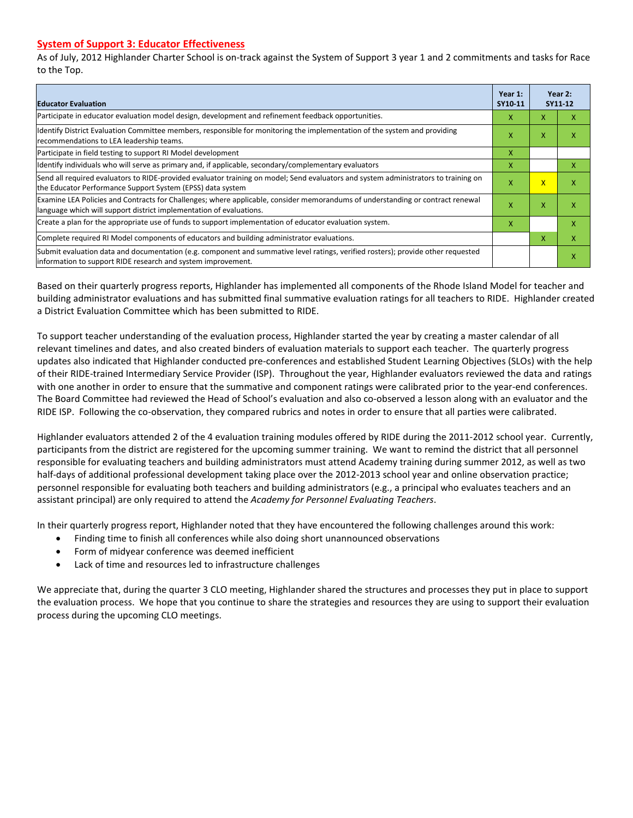# **System of Support 3: Educator Effectiveness**

As of July, 2012 Highlander Charter School is on-track against the System of Support 3 year 1 and 2 commitments and tasks for Race to the Top.

| <b>Educator Evaluation</b>                                                                                                                                                                            | Year 1:<br>SY10-11 |                         | Year 2:<br>SY11-12 |
|-------------------------------------------------------------------------------------------------------------------------------------------------------------------------------------------------------|--------------------|-------------------------|--------------------|
| Participate in educator evaluation model design, development and refinement feedback opportunities.                                                                                                   | x                  | X                       | x                  |
| Identify District Evaluation Committee members, responsible for monitoring the implementation of the system and providing<br>recommendations to LEA leadership teams.                                 | X                  | X                       |                    |
| Participate in field testing to support RI Model development                                                                                                                                          | X                  |                         |                    |
| ldentify individuals who will serve as primary and, if applicable, secondary/complementary evaluators                                                                                                 | Χ                  |                         | x                  |
| Send all required evaluators to RIDE-provided evaluator training on model; Send evaluators and system administrators to training on<br>the Educator Performance Support System (EPSS) data system     | X.                 | $\overline{\mathsf{x}}$ | x                  |
| Examine LEA Policies and Contracts for Challenges; where applicable, consider memorandums of understanding or contract renewal<br>language which will support district implementation of evaluations. | X                  | X                       | x                  |
| Create a plan for the appropriate use of funds to support implementation of educator evaluation system.                                                                                               | x                  |                         | x                  |
| Complete required RI Model components of educators and building administrator evaluations.                                                                                                            |                    | X                       | x                  |
| Submit evaluation data and documentation (e.g. component and summative level ratings, verified rosters); provide other requested<br>information to support RIDE research and system improvement.      |                    |                         |                    |

Based on their quarterly progress reports, Highlander has implemented all components of the Rhode Island Model for teacher and building administrator evaluations and has submitted final summative evaluation ratings for all teachers to RIDE. Highlander created a District Evaluation Committee which has been submitted to RIDE.

To support teacher understanding of the evaluation process, Highlander started the year by creating a master calendar of all relevant timelines and dates, and also created binders of evaluation materials to support each teacher. The quarterly progress updates also indicated that Highlander conducted pre-conferences and established Student Learning Objectives (SLOs) with the help of their RIDE-trained Intermediary Service Provider (ISP). Throughout the year, Highlander evaluators reviewed the data and ratings with one another in order to ensure that the summative and component ratings were calibrated prior to the year-end conferences. The Board Committee had reviewed the Head of School's evaluation and also co-observed a lesson along with an evaluator and the RIDE ISP. Following the co-observation, they compared rubrics and notes in order to ensure that all parties were calibrated.

Highlander evaluators attended 2 of the 4 evaluation training modules offered by RIDE during the 2011-2012 school year. Currently, participants from the district are registered for the upcoming summer training. We want to remind the district that all personnel responsible for evaluating teachers and building administrators must attend Academy training during summer 2012, as well as two half-days of additional professional development taking place over the 2012-2013 school year and online observation practice; personnel responsible for evaluating both teachers and building administrators (e.g., a principal who evaluates teachers and an assistant principal) are only required to attend the *Academy for Personnel Evaluating Teachers*.

In their quarterly progress report, Highlander noted that they have encountered the following challenges around this work:

- Finding time to finish all conferences while also doing short unannounced observations
- Form of midyear conference was deemed inefficient
- Lack of time and resources led to infrastructure challenges

We appreciate that, during the quarter 3 CLO meeting, Highlander shared the structures and processes they put in place to support the evaluation process. We hope that you continue to share the strategies and resources they are using to support their evaluation process during the upcoming CLO meetings.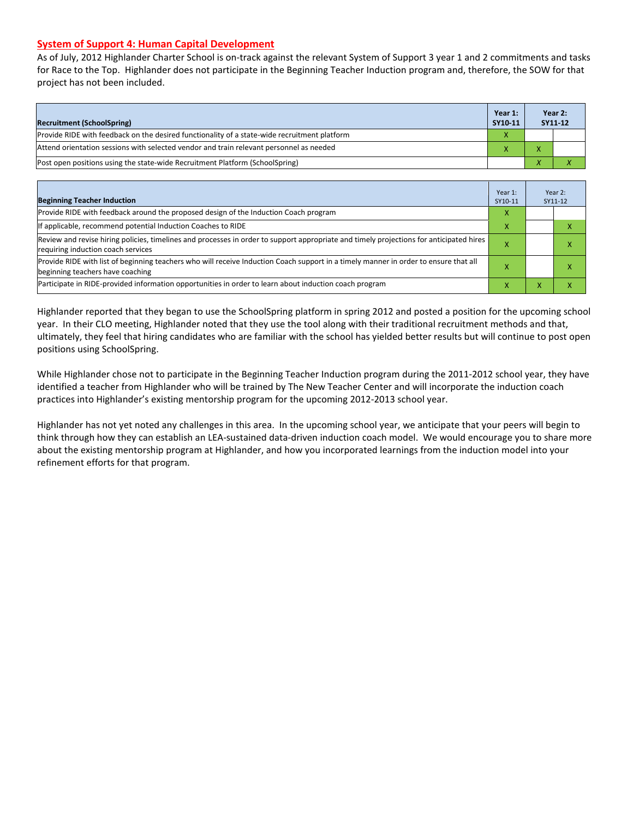### **System of Support 4: Human Capital Development**

As of July, 2012 Highlander Charter School is on-track against the relevant System of Support 3 year 1 and 2 commitments and tasks for Race to the Top. Highlander does not participate in the Beginning Teacher Induction program and, therefore, the SOW for that project has not been included.

| <b>Recruitment (SchoolSpring)</b>                                                            | Year 1:<br>SY10-11 | Year 2:<br>SY11-12 |  |
|----------------------------------------------------------------------------------------------|--------------------|--------------------|--|
| Provide RIDE with feedback on the desired functionality of a state-wide recruitment platform | x                  |                    |  |
| Attend orientation sessions with selected vendor and train relevant personnel as needed      | ^                  |                    |  |
| (Post open positions using the state-wide Recruitment Platform (SchoolSpring)                |                    |                    |  |

| <b>Beginning Teacher Induction</b>                                                                                                                                            | Year 1:<br>SY10-11 | Year 2:<br>SY11-12 |
|-------------------------------------------------------------------------------------------------------------------------------------------------------------------------------|--------------------|--------------------|
| Provide RIDE with feedback around the proposed design of the Induction Coach program                                                                                          | x                  |                    |
| If applicable, recommend potential Induction Coaches to RIDE                                                                                                                  | x                  |                    |
| Review and revise hiring policies, timelines and processes in order to support appropriate and timely projections for anticipated hires<br>requiring induction coach services | ⋏                  |                    |
| Provide RIDE with list of beginning teachers who will receive Induction Coach support in a timely manner in order to ensure that all<br>beginning teachers have coaching      |                    |                    |
| Participate in RIDE-provided information opportunities in order to learn about induction coach program                                                                        |                    |                    |

Highlander reported that they began to use the SchoolSpring platform in spring 2012 and posted a position for the upcoming school year. In their CLO meeting, Highlander noted that they use the tool along with their traditional recruitment methods and that, ultimately, they feel that hiring candidates who are familiar with the school has yielded better results but will continue to post open positions using SchoolSpring.

While Highlander chose not to participate in the Beginning Teacher Induction program during the 2011-2012 school year, they have identified a teacher from Highlander who will be trained by The New Teacher Center and will incorporate the induction coach practices into Highlander's existing mentorship program for the upcoming 2012-2013 school year.

Highlander has not yet noted any challenges in this area. In the upcoming school year, we anticipate that your peers will begin to think through how they can establish an LEA-sustained data-driven induction coach model. We would encourage you to share more about the existing mentorship program at Highlander, and how you incorporated learnings from the induction model into your refinement efforts for that program.